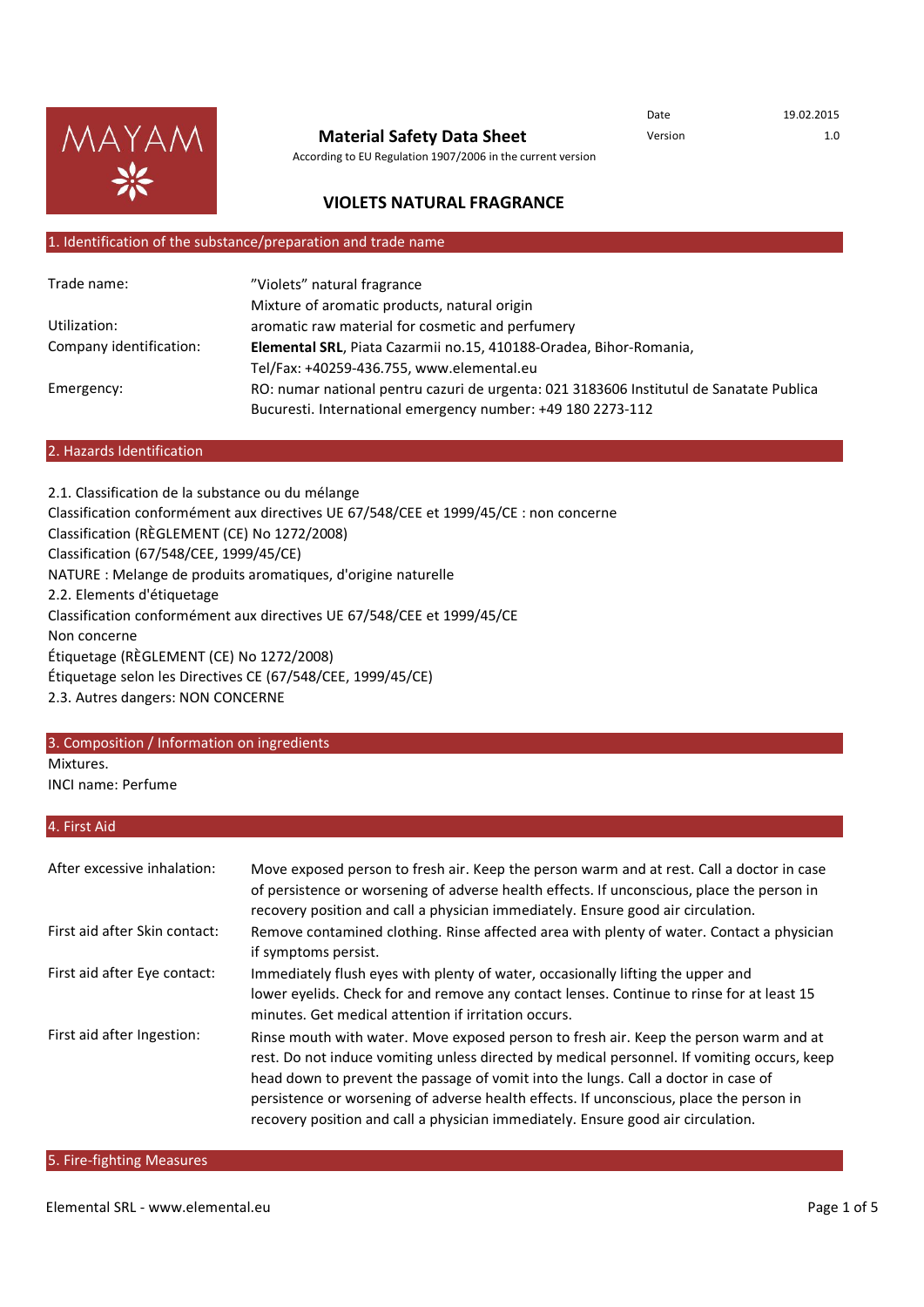

#### **Material Safety Data Sheet**

According to EU Regulation 1907/2006 in the current version

Date 19.02.2015 Version 1.0

## **VIOLETS NATURAL FRAGRANCE**

## 1. Identification of the substance/preparation and trade name

| Trade name:             | "Violets" natural fragrance                                                             |  |
|-------------------------|-----------------------------------------------------------------------------------------|--|
|                         | Mixture of aromatic products, natural origin                                            |  |
| Utilization:            | aromatic raw material for cosmetic and perfumery                                        |  |
| Company identification: | Elemental SRL, Piata Cazarmii no.15, 410188-Oradea, Bihor-Romania,                      |  |
|                         | Tel/Fax: +40259-436.755, www.elemental.eu                                               |  |
| Emergency:              | RO: numar national pentru cazuri de urgenta: 021 3183606 Institutul de Sanatate Publica |  |
|                         | Bucuresti. International emergency number: +49 180 2273-112                             |  |

#### 2. Hazards Identification

2.1. Classification de la substance ou du mélange Classification conformément aux directives UE 67/548/CEE et 1999/45/CE : non concerne Classification (RÈGLEMENT (CE) No 1272/2008) Classification (67/548/CEE, 1999/45/CE) NATURE : Melange de produits aromatiques, d'origine naturelle 2.2. Elements d'étiquetage Classification conformément aux directives UE 67/548/CEE et 1999/45/CE Non concerne Étiquetage (RÈGLEMENT (CE) No 1272/2008) Étiquetage selon les Directives CE (67/548/CEE, 1999/45/CE) 2.3. Autres dangers: NON CONCERNE

#### 3. Composition / Information on ingredients

Mixtures.

INCI name: Perfume

#### 4. First Aid

| After excessive inhalation:   | Move exposed person to fresh air. Keep the person warm and at rest. Call a doctor in case<br>of persistence or worsening of adverse health effects. If unconscious, place the person in<br>recovery position and call a physician immediately. Ensure good air circulation.                                                                                                                                                                               |
|-------------------------------|-----------------------------------------------------------------------------------------------------------------------------------------------------------------------------------------------------------------------------------------------------------------------------------------------------------------------------------------------------------------------------------------------------------------------------------------------------------|
| First aid after Skin contact: | Remove contamined clothing. Rinse affected area with plenty of water. Contact a physician<br>if symptoms persist.                                                                                                                                                                                                                                                                                                                                         |
| First aid after Eye contact:  | Immediately flush eyes with plenty of water, occasionally lifting the upper and<br>lower eyelids. Check for and remove any contact lenses. Continue to rinse for at least 15<br>minutes. Get medical attention if irritation occurs.                                                                                                                                                                                                                      |
| First aid after Ingestion:    | Rinse mouth with water. Move exposed person to fresh air. Keep the person warm and at<br>rest. Do not induce vomiting unless directed by medical personnel. If vomiting occurs, keep<br>head down to prevent the passage of vomit into the lungs. Call a doctor in case of<br>persistence or worsening of adverse health effects. If unconscious, place the person in<br>recovery position and call a physician immediately. Ensure good air circulation. |

#### 5. Fire-fighting Measures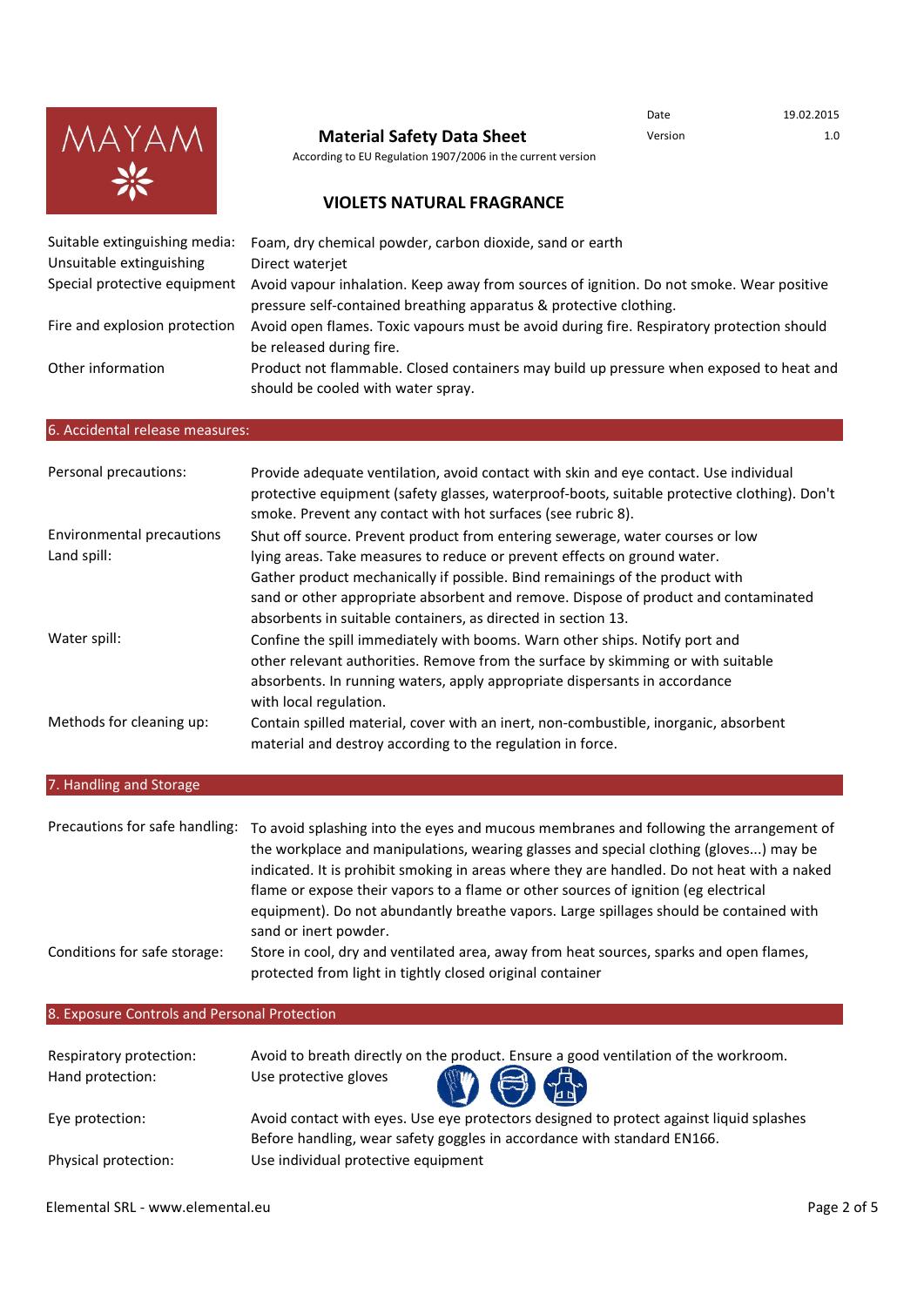

Date 19.02.2015

According to EU Regulation 1907/2006 in the current version

# **VIOLETS NATURAL FRAGRANCE**

| Suitable extinguishing media: | Foam, dry chemical powder, carbon dioxide, sand or earth                                                                                                       |
|-------------------------------|----------------------------------------------------------------------------------------------------------------------------------------------------------------|
| Unsuitable extinguishing      | Direct waterjet                                                                                                                                                |
| Special protective equipment  | Avoid vapour inhalation. Keep away from sources of ignition. Do not smoke. Wear positive<br>pressure self-contained breathing apparatus & protective clothing. |
| Fire and explosion protection | Avoid open flames. Toxic vapours must be avoid during fire. Respiratory protection should<br>be released during fire.                                          |
| Other information             | Product not flammable. Closed containers may build up pressure when exposed to heat and<br>should be cooled with water spray.                                  |

#### 6. Accidental release measures:

| Personal precautions:     | Provide adequate ventilation, avoid contact with skin and eye contact. Use individual<br>protective equipment (safety glasses, waterproof-boots, suitable protective clothing). Don't<br>smoke. Prevent any contact with hot surfaces (see rubric 8). |
|---------------------------|-------------------------------------------------------------------------------------------------------------------------------------------------------------------------------------------------------------------------------------------------------|
| Environmental precautions | Shut off source. Prevent product from entering sewerage, water courses or low                                                                                                                                                                         |
| Land spill:               | lying areas. Take measures to reduce or prevent effects on ground water.                                                                                                                                                                              |
|                           | Gather product mechanically if possible. Bind remainings of the product with                                                                                                                                                                          |
|                           | sand or other appropriate absorbent and remove. Dispose of product and contaminated                                                                                                                                                                   |
|                           | absorbents in suitable containers, as directed in section 13.                                                                                                                                                                                         |
| Water spill:              | Confine the spill immediately with booms. Warn other ships. Notify port and                                                                                                                                                                           |
|                           | other relevant authorities. Remove from the surface by skimming or with suitable                                                                                                                                                                      |
|                           | absorbents. In running waters, apply appropriate dispersants in accordance                                                                                                                                                                            |
|                           | with local regulation.                                                                                                                                                                                                                                |
| Methods for cleaning up:  | Contain spilled material, cover with an inert, non-combustible, inorganic, absorbent                                                                                                                                                                  |
|                           | material and destroy according to the regulation in force.                                                                                                                                                                                            |

# 7. Handling and Storage

| flame or expose their vapors to a flame or other sources of ignition (eg electrical<br>equipment). Do not abundantly breathe vapors. Large spillages should be contained with<br>sand or inert powder. |
|--------------------------------------------------------------------------------------------------------------------------------------------------------------------------------------------------------|
| Store in cool, dry and ventilated area, away from heat sources, sparks and open flames,<br>protected from light in tightly closed original container                                                   |
|                                                                                                                                                                                                        |

## 8. Exposure Controls and Personal Protection

| Respiratory protection:<br>Hand protection: | Avoid to breath directly on the product. Ensure a good ventilation of the workroom.<br>$\mathbf{O} \oplus \mathbf{E}$<br>Use protective gloves |
|---------------------------------------------|------------------------------------------------------------------------------------------------------------------------------------------------|
| Eye protection:                             | Avoid contact with eyes. Use eye protectors designed to protect against liquid splashes                                                        |
|                                             | Before handling, wear safety goggles in accordance with standard EN166.                                                                        |
| Physical protection:                        | Use individual protective equipment                                                                                                            |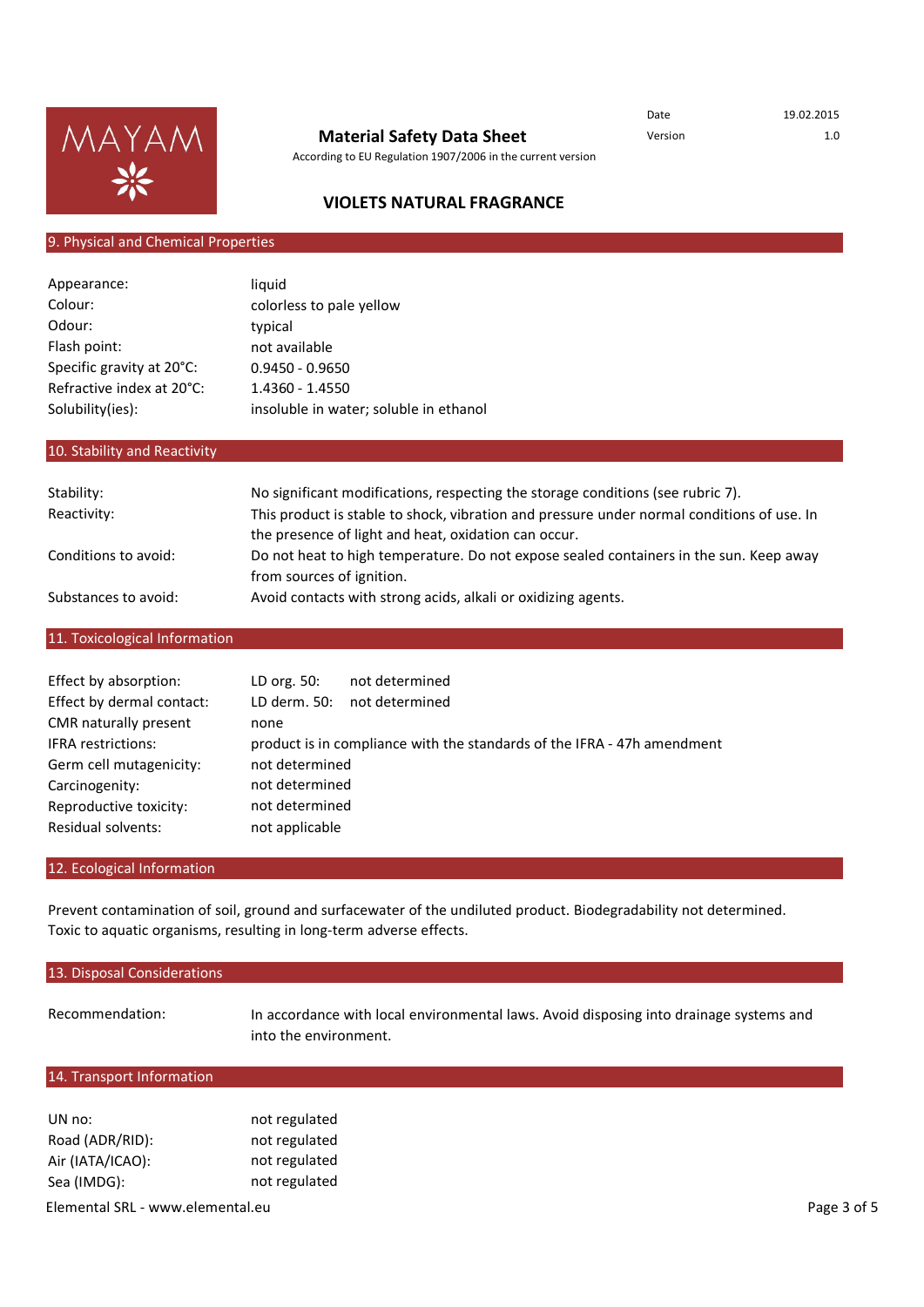

According to EU Regulation 1907/2006 in the current version

Date 19.02.2015

## **VIOLETS NATURAL FRAGRANCE**

## 9. Physical and Chemical Properties

| Appearance:               | liquid                                 |
|---------------------------|----------------------------------------|
| Colour:                   | colorless to pale yellow               |
| Odour:                    | typical                                |
| Flash point:              | not available                          |
| Specific gravity at 20°C: | $0.9450 - 0.9650$                      |
| Refractive index at 20°C: | 1.4360 - 1.4550                        |
| Solubility(ies):          | insoluble in water; soluble in ethanol |

## 10. Stability and Reactivity

| Stability:           | No significant modifications, respecting the storage conditions (see rubric 7).            |
|----------------------|--------------------------------------------------------------------------------------------|
| Reactivity:          | This product is stable to shock, vibration and pressure under normal conditions of use. In |
|                      | the presence of light and heat, oxidation can occur.                                       |
| Conditions to avoid: | Do not heat to high temperature. Do not expose sealed containers in the sun. Keep away     |
|                      | from sources of ignition.                                                                  |
| Substances to avoid: | Avoid contacts with strong acids, alkali or oxidizing agents.                              |

## 11. Toxicological Information

| Effect by absorption:     | LD org. 50:    | not determined                                                          |
|---------------------------|----------------|-------------------------------------------------------------------------|
| Effect by dermal contact: | LD derm. 50:   | not determined                                                          |
| CMR naturally present     | none           |                                                                         |
| <b>IFRA</b> restrictions: |                | product is in compliance with the standards of the IFRA - 47h amendment |
| Germ cell mutagenicity:   | not determined |                                                                         |
| Carcinogenity:            | not determined |                                                                         |
| Reproductive toxicity:    | not determined |                                                                         |
| Residual solvents:        | not applicable |                                                                         |

## 12. Ecological Information

Prevent contamination of soil, ground and surfacewater of the undiluted product. Biodegradability not determined. Toxic to aquatic organisms, resulting in long-term adverse effects.

| 13. Disposal Considerations |                                                                                                                 |
|-----------------------------|-----------------------------------------------------------------------------------------------------------------|
| Recommendation:             | In accordance with local environmental laws. Avoid disposing into drainage systems and<br>into the environment. |
| 14. Transport Information   |                                                                                                                 |

| UN no:           | not regulated |
|------------------|---------------|
| Road (ADR/RID):  | not regulated |
| Air (IATA/ICAO): | not regulated |
| Sea (IMDG):      | not regulated |
|                  |               |

Elemental SRL - www.elemental.eu entitled and the state of 5 and 2 of 5 and 2 of 5 and 2 of 5 and 2 of 5 and 2 of 5 and 2 of 5 and 2 of 5 and 2 of 5 and 2 of 5 and 2 of 5 and 2 of 5 and 2 of 5 and 2 of 5 and 2 of 5 and 2 o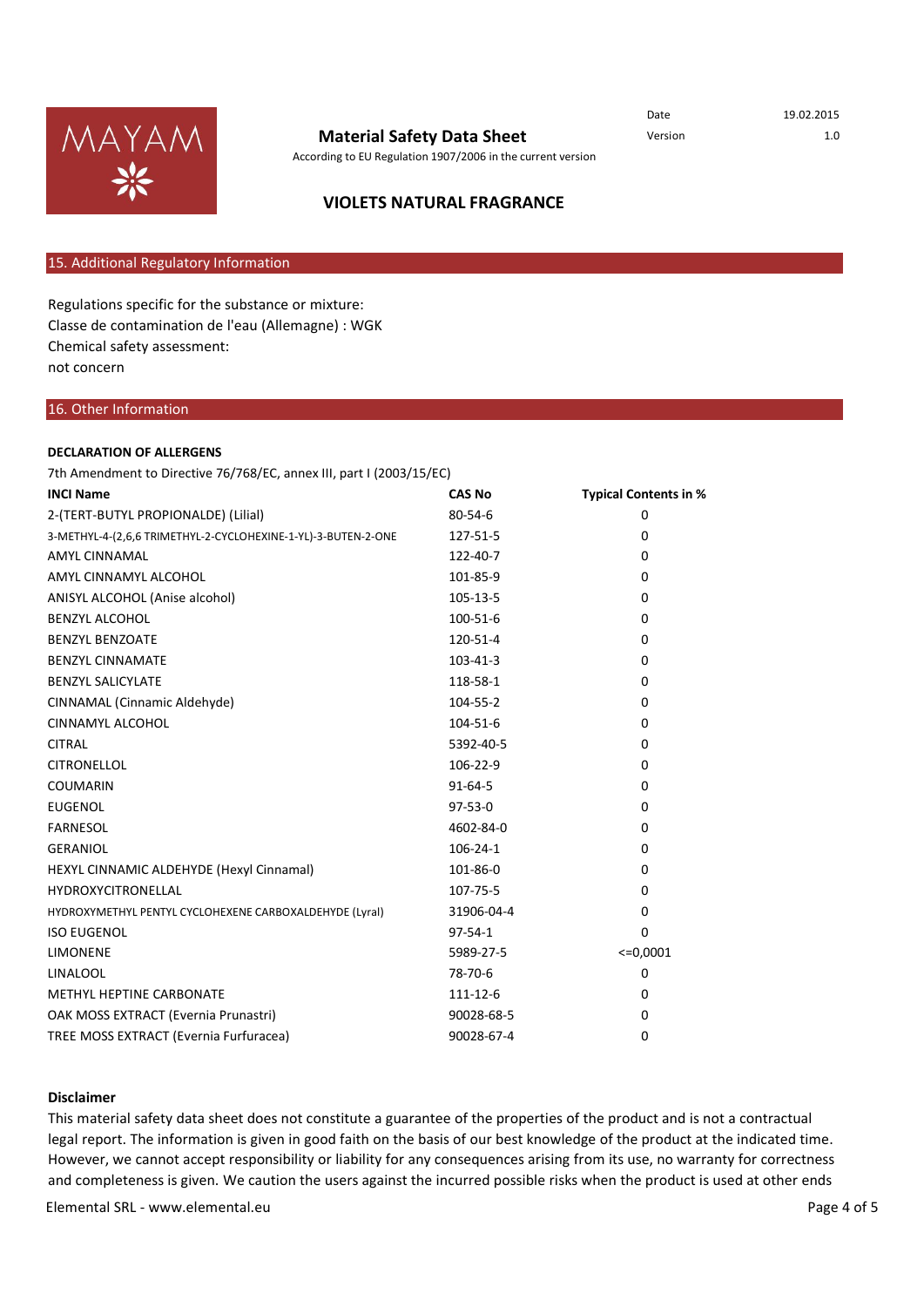

According to EU Regulation 1907/2006 in the current version

Date 19.02.2015

# **VIOLETS NATURAL FRAGRANCE**

## 15. Additional Regulatory Information

Classe de contamination de l'eau (Allemagne) : WGK Chemical safety assessment: not concern Regulations specific for the substance or mixture:

#### 16. Other Information

#### **DECLARATION OF ALLERGENS**

7th Amendment to Directive 76/768/EC, annex III, part I (2003/15/EC)

| <b>INCI Name</b>                                              | <b>CAS No</b>  | Typical Contents in % |
|---------------------------------------------------------------|----------------|-----------------------|
| 2-(TERT-BUTYL PROPIONALDE) (Lilial)                           | 80-54-6        | $\mathbf 0$           |
| 3-METHYL-4-(2,6,6 TRIMETHYL-2-CYCLOHEXINE-1-YL)-3-BUTEN-2-ONE | 127-51-5       | 0                     |
| <b>AMYL CINNAMAL</b>                                          | 122-40-7       | $\Omega$              |
| AMYL CINNAMYL ALCOHOL                                         | 101-85-9       | $\Omega$              |
| ANISYL ALCOHOL (Anise alcohol)                                | 105-13-5       | $\Omega$              |
| <b>BENZYL ALCOHOL</b>                                         | 100-51-6       | $\mathbf{0}$          |
| <b>BENZYL BENZOATE</b>                                        | 120-51-4       | $\mathbf 0$           |
| <b>BENZYL CINNAMATE</b>                                       | $103 - 41 - 3$ | $\Omega$              |
| <b>BENZYL SALICYLATE</b>                                      | 118-58-1       | $\Omega$              |
| CINNAMAL (Cinnamic Aldehyde)                                  | 104-55-2       | $\Omega$              |
| CINNAMYL ALCOHOL                                              | 104-51-6       | $\mathbf{0}$          |
| <b>CITRAL</b>                                                 | 5392-40-5      | $\Omega$              |
| <b>CITRONELLOL</b>                                            | 106-22-9       | $\Omega$              |
| <b>COUMARIN</b>                                               | $91 - 64 - 5$  | $\Omega$              |
| <b>EUGENOL</b>                                                | $97 - 53 - 0$  | $\Omega$              |
| <b>FARNESOL</b>                                               | 4602-84-0      | $\Omega$              |
| <b>GERANIOL</b>                                               | $106 - 24 - 1$ | $\Omega$              |
| HEXYL CINNAMIC ALDEHYDE (Hexyl Cinnamal)                      | 101-86-0       | $\Omega$              |
| <b>HYDROXYCITRONELLAL</b>                                     | 107-75-5       | $\Omega$              |
| HYDROXYMETHYL PENTYL CYCLOHEXENE CARBOXALDEHYDE (Lyral)       | 31906-04-4     | 0                     |
| <b>ISO EUGENOL</b>                                            | $97 - 54 - 1$  | $\mathbf 0$           |
| <b>LIMONENE</b>                                               | 5989-27-5      | $<=0,0001$            |
| <b>LINALOOL</b>                                               | 78-70-6        | $\Omega$              |
| METHYL HEPTINE CARBONATE                                      | 111-12-6       | $\Omega$              |
| OAK MOSS EXTRACT (Evernia Prunastri)                          | 90028-68-5     | 0                     |
| TREE MOSS EXTRACT (Evernia Furfuracea)                        | 90028-67-4     | 0                     |

#### **Disclaimer**

This material safety data sheet does not constitute a guarantee of the properties of the product and is not a contractual legal report. The information is given in good faith on the basis of our best knowledge of the product at the indicated time. However, we cannot accept responsibility or liability for any consequences arising from its use, no warranty for correctness and completeness is given. We caution the users against the incurred possible risks when the product is used at other ends

of the user of the user of the user of the user of the user of the user of the user of the use to the use to the use to the use to the use to the use to the use to the use to the use to the use to the use to the use to the